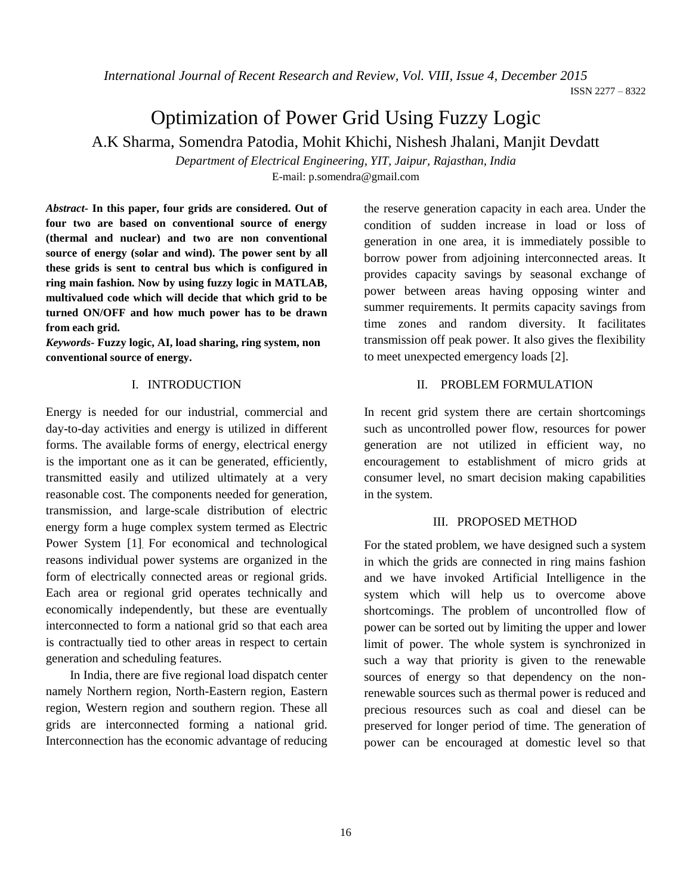*International Journal of Recent Research and Review, Vol. VIII, Issue 4, December 2015*

# Optimization of Power Grid Using Fuzzy Logic

A.K Sharma, Somendra Patodia, Mohit Khichi, Nishesh Jhalani, Manjit Devdatt

*Department of Electrical Engineering, YIT, Jaipur, Rajasthan, India* E-mail: p.somendra@gmail.com

*Abstract-* **In this paper, four grids are considered. Out of four two are based on conventional source of energy (thermal and nuclear) and two are non conventional source of energy (solar and wind). The power sent by all these grids is sent to central bus which is configured in ring main fashion. Now by using fuzzy logic in MATLAB, multivalued code which will decide that which grid to be turned ON/OFF and how much power has to be drawn from each grid.**

*Keywords-* **Fuzzy logic, AI, load sharing, ring system, non conventional source of energy.**

### I. INTRODUCTION

Energy is needed for our industrial, commercial and day-to-day activities and energy is utilized in different forms. The available forms of energy, electrical energy is the important one as it can be generated, efficiently, transmitted easily and utilized ultimately at a very reasonable cost. The components needed for generation, transmission, and large-scale distribution of electric energy form a huge complex system termed as Electric Power System [1]. For economical and technological reasons individual power systems are organized in the form of electrically connected areas or regional grids. Each area or regional grid operates technically and economically independently, but these are eventually interconnected to form a national grid so that each area is contractually tied to other areas in respect to certain generation and scheduling features.

In India, there are five regional load dispatch center namely Northern region, North-Eastern region, Eastern region, Western region and southern region. These all grids are interconnected forming a national grid. Interconnection has the economic advantage of reducing the reserve generation capacity in each area. Under the condition of sudden increase in load or loss of generation in one area, it is immediately possible to borrow power from adjoining interconnected areas. It provides capacity savings by seasonal exchange of power between areas having opposing winter and summer requirements. It permits capacity savings from time zones and random diversity. It facilitates transmission off peak power. It also gives the flexibility to meet unexpected emergency loads [2].

### II. PROBLEM FORMULATION

In recent grid system there are certain shortcomings such as uncontrolled power flow, resources for power generation are not utilized in efficient way, no encouragement to establishment of micro grids at consumer level, no smart decision making capabilities in the system.

### III. PROPOSED METHOD

For the stated problem, we have designed such a system in which the grids are connected in ring mains fashion and we have invoked Artificial Intelligence in the system which will help us to overcome above shortcomings. The problem of uncontrolled flow of power can be sorted out by limiting the upper and lower limit of power. The whole system is synchronized in such a way that priority is given to the renewable sources of energy so that dependency on the nonrenewable sources such as thermal power is reduced and precious resources such as coal and diesel can be preserved for longer period of time. The generation of power can be encouraged at domestic level so that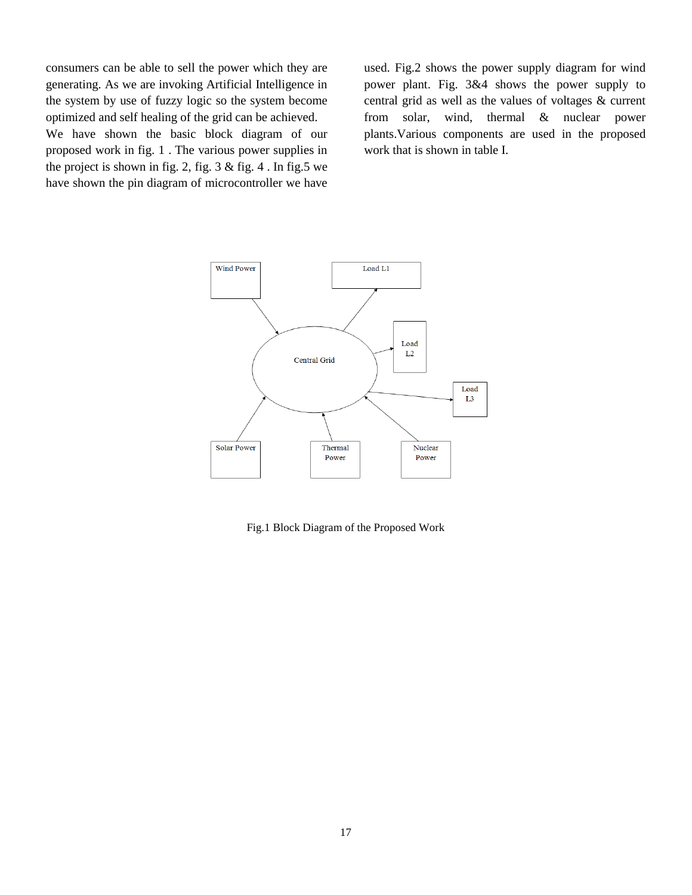consumers can be able to sell the power which they are generating. As we are invoking Artificial Intelligence in the system by use of fuzzy logic so the system become optimized and self healing of the grid can be achieved.

We have shown the basic block diagram of our proposed work in fig. 1 . The various power supplies in the project is shown in fig. 2, fig.  $3 \&$  fig. 4. In fig. 5 we have shown the pin diagram of microcontroller we have

used. Fig.2 shows the power supply diagram for wind power plant. Fig. 3&4 shows the power supply to central grid as well as the values of voltages & current from solar, wind, thermal & nuclear power plants.Various components are used in the proposed work that is shown in table I.



Fig.1 Block Diagram of the Proposed Work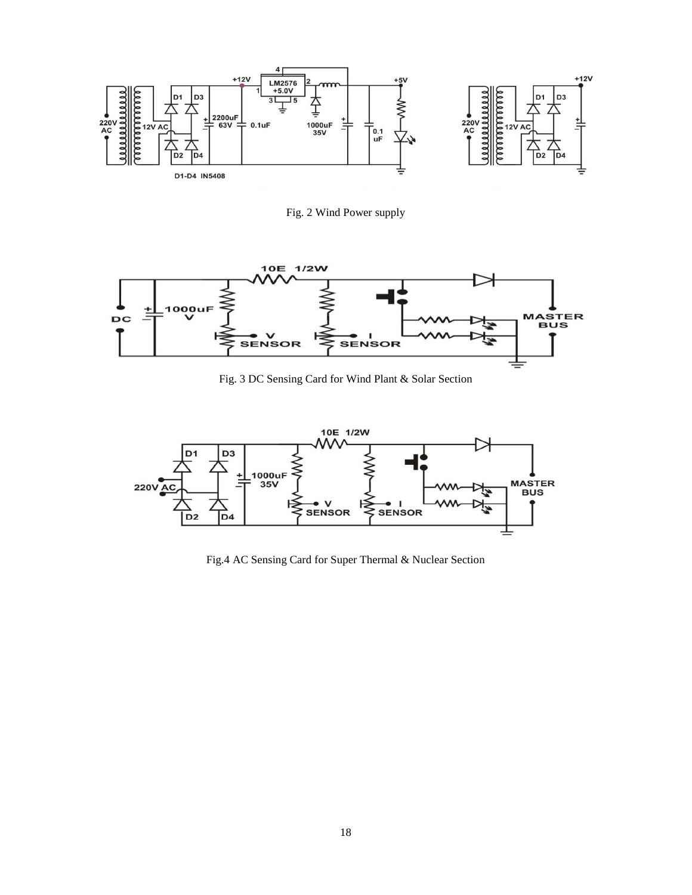

Fig. 2 Wind Power supply



Fig. 3 DC Sensing Card for Wind Plant & Solar Section



Fig.4 AC Sensing Card for Super Thermal & Nuclear Section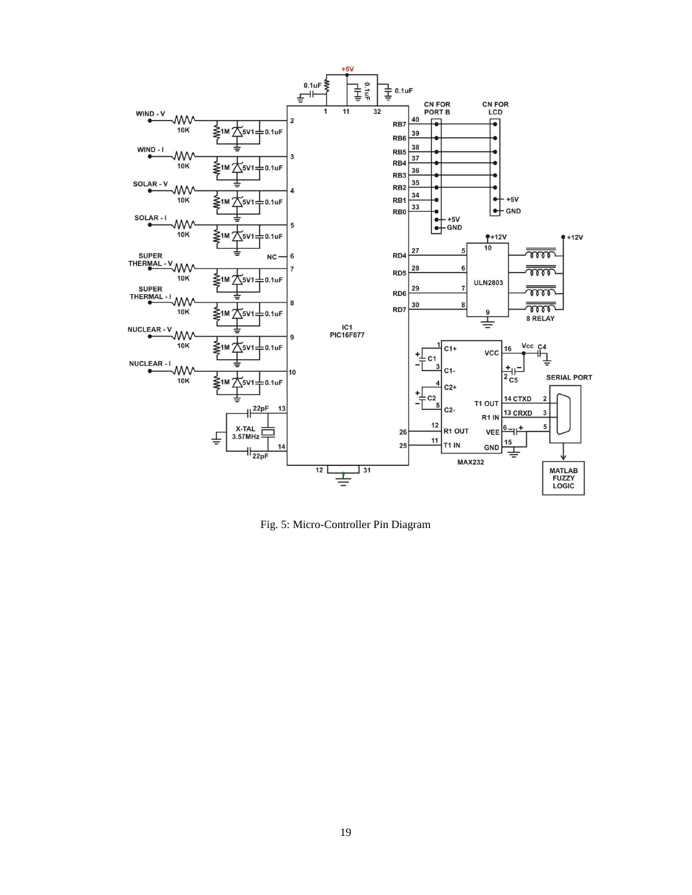

Fig. 5: Micro-Controller Pin Diagram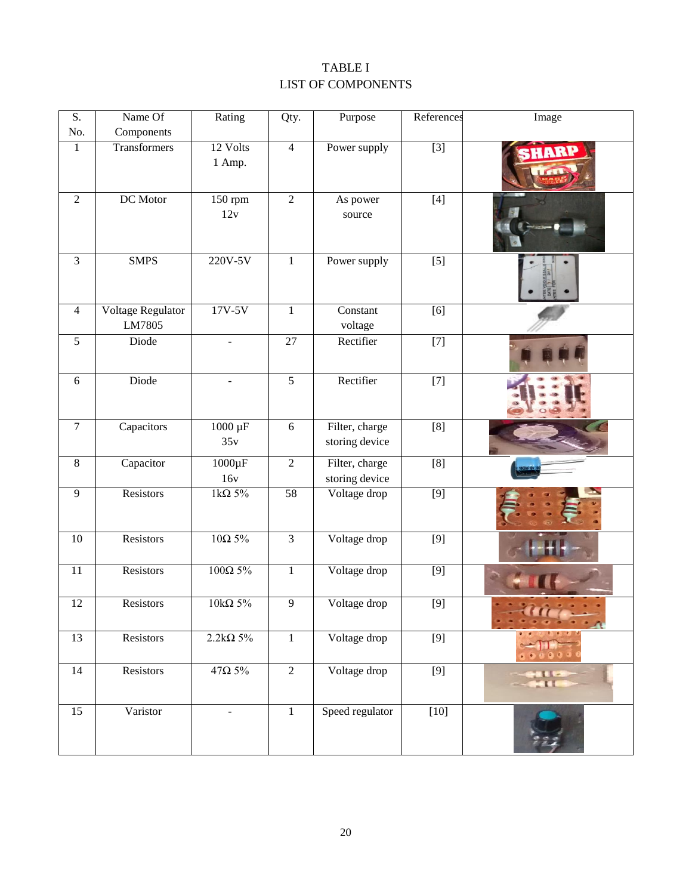## TABLE I LIST OF COMPONENTS

| S.             | Name Of                     | Rating                   | Qty.           | Purpose                          | References       | Image        |
|----------------|-----------------------------|--------------------------|----------------|----------------------------------|------------------|--------------|
| No.            | Components                  |                          |                |                                  |                  |              |
| $\mathbf{1}$   | Transformers                | 12 Volts<br>1 Amp.       | $\overline{4}$ | Power supply                     | $\boxed{3}$      | ARI          |
| $\overline{2}$ | DC Motor                    | 150 rpm<br>12v           | $\overline{2}$ | As power<br>source               | $[4]$            |              |
| $\overline{3}$ | <b>SMPS</b>                 | 220V-5V                  | $\mathbf{1}$   | Power supply                     | $[5]$            |              |
| $\overline{4}$ | Voltage Regulator<br>LM7805 | $17V-5V$                 | $\,1$          | Constant<br>voltage              | [6]              |              |
| 5              | Diode                       | $\overline{\phantom{a}}$ | 27             | Rectifier                        | $[7]$            |              |
| 6              | Diode                       | $\overline{\phantom{a}}$ | $\sqrt{5}$     | Rectifier                        | $[7]$            |              |
| $\overline{7}$ | Capacitors                  | $1000 \mu F$<br>35v      | 6              | Filter, charge<br>storing device | [8]              |              |
| $8\,$          | Capacitor                   | $1000\mu F$<br>16v       | $\overline{2}$ | Filter, charge<br>storing device | [8]              |              |
| 9              | Resistors                   | 1k $\Omega$ 5%           | 58             | Voltage drop                     | $\overline{[9]}$ |              |
| 10             | Resistors                   | 10Ω5%                    | 3              | Voltage drop                     | $[9]$            |              |
| 11             | Resistors                   | $100\Omega$ 5%           | $\mathbf{1}$   | Voltage drop                     | [9]              |              |
| 12             | Resistors                   | 10kQ 5%                  | $\overline{9}$ | Voltage drop                     | $[9]$            |              |
| 13             | Resistors                   | $2.2k\Omega$ 5%          | $\mathbf{1}$   | Voltage drop                     | $[9]$            |              |
| 14             | Resistors                   | $47\Omega$ 5%            | $\overline{2}$ | Voltage drop                     | $[9]$            | $\mathbf{H}$ |
| 15             | Varistor                    | $\overline{\phantom{a}}$ | $\,1$          | Speed regulator                  | $[10]$           |              |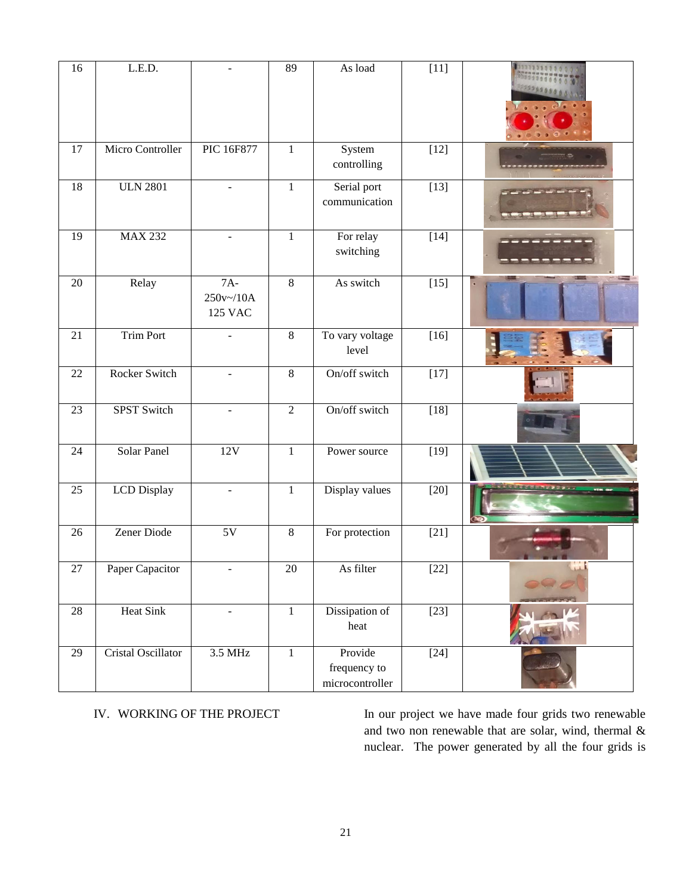| 16 | L.E.D.             |                                      | 89             | As load                                    | $[11]$ |  |
|----|--------------------|--------------------------------------|----------------|--------------------------------------------|--------|--|
| 17 | Micro Controller   | PIC 16F877                           | $\mathbf{1}$   | System<br>controlling                      | $[12]$ |  |
| 18 | <b>ULN 2801</b>    |                                      | $\mathbf{1}$   | Serial port<br>communication               | $[13]$ |  |
| 19 | <b>MAX 232</b>     | $\overline{\phantom{a}}$             | $\mathbf{1}$   | For relay<br>switching                     | $[14]$ |  |
| 20 | Relay              | $7A-$<br>250v~/10A<br><b>125 VAC</b> | $\overline{8}$ | As switch                                  | $[15]$ |  |
| 21 | <b>Trim Port</b>   |                                      | $\overline{8}$ | To vary voltage<br>level                   | $[16]$ |  |
| 22 | Rocker Switch      | ÷.                                   | $8\,$          | On/off switch                              | $[17]$ |  |
| 23 | <b>SPST Switch</b> | $\overline{\phantom{a}}$             | $\overline{2}$ | On/off switch                              | $[18]$ |  |
| 24 | Solar Panel        | 12V                                  | $\mathbf{1}$   | Power source                               | $[19]$ |  |
| 25 | <b>LCD</b> Display | $\overline{\phantom{a}}$             | $\mathbf{1}$   | Display values                             | $[20]$ |  |
| 26 | Zener Diode        | $5{\rm V}$                           | 8              | For protection                             | $[21]$ |  |
| 27 | Paper Capacitor    |                                      | 20             | As filter                                  | $[22]$ |  |
| 28 | <b>Heat Sink</b>   | $\overline{\phantom{a}}$             | $\mathbf{1}$   | Dissipation of<br>heat                     | $[23]$ |  |
| 29 | Cristal Oscillator | 3.5 MHz                              | $\overline{1}$ | Provide<br>frequency to<br>microcontroller | $[24]$ |  |

IV. WORKING OF THE PROJECT In our project we have made four grids two renewable and two non renewable that are solar, wind, thermal & nuclear. The power generated by all the four grids is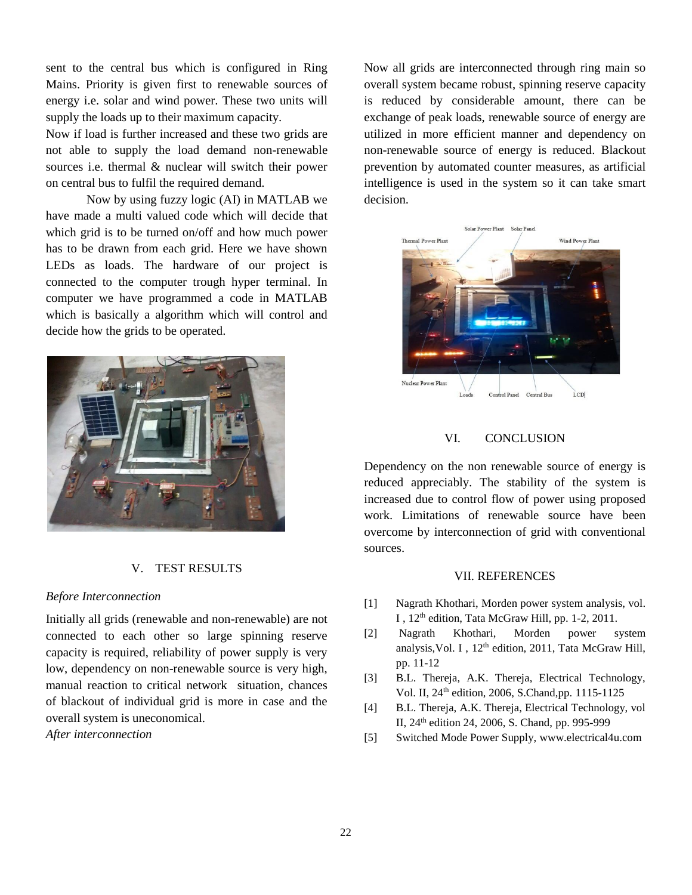sent to the central bus which is configured in Ring Mains. Priority is given first to renewable sources of energy i.e. solar and wind power. These two units will supply the loads up to their maximum capacity.

Now if load is further increased and these two grids are not able to supply the load demand non-renewable sources i.e. thermal & nuclear will switch their power on central bus to fulfil the required demand.

Now by using fuzzy logic (AI) in MATLAB we have made a multi valued code which will decide that which grid is to be turned on/off and how much power has to be drawn from each grid. Here we have shown LEDs as loads. The hardware of our project is connected to the computer trough hyper terminal. In computer we have programmed a code in MATLAB which is basically a algorithm which will control and decide how the grids to be operated.



### V. TEST RESULTS

### *Before Interconnection*

Initially all grids (renewable and non-renewable) are not connected to each other so large spinning reserve capacity is required, reliability of power supply is very low, dependency on non-renewable source is very high, manual reaction to critical network situation, chances of blackout of individual grid is more in case and the overall system is uneconomical.

*After interconnection* 

Now all grids are interconnected through ring main so overall system became robust, spinning reserve capacity is reduced by considerable amount, there can be exchange of peak loads, renewable source of energy are utilized in more efficient manner and dependency on non-renewable source of energy is reduced. Blackout prevention by automated counter measures, as artificial intelligence is used in the system so it can take smart decision.



### VI. CONCLUSION

Dependency on the non renewable source of energy is reduced appreciably. The stability of the system is increased due to control flow of power using proposed work. Limitations of renewable source have been overcome by interconnection of grid with conventional sources.

#### VII. REFERENCES

- [1] Nagrath Khothari, Morden power system analysis, vol. I, 12<sup>th</sup> edition, Tata McGraw Hill, pp. 1-2, 2011.
- [2] Nagrath Khothari, Morden power system analysis, Vol. I,  $12<sup>th</sup>$  edition, 2011, Tata McGraw Hill, pp. 11-12
- [3] B.L. Thereja, A.K. Thereja, Electrical Technology, Vol. II, 24th edition, 2006, S.Chand,pp. 1115-1125
- [4] B.L. Thereja, A.K. Thereja, Electrical Technology, vol II, 24th edition 24, 2006, S. Chand, pp. 995-999
- [5] Switched Mode Power Supply, [www.electrical4u.com](http://www.electrical4u.com/)